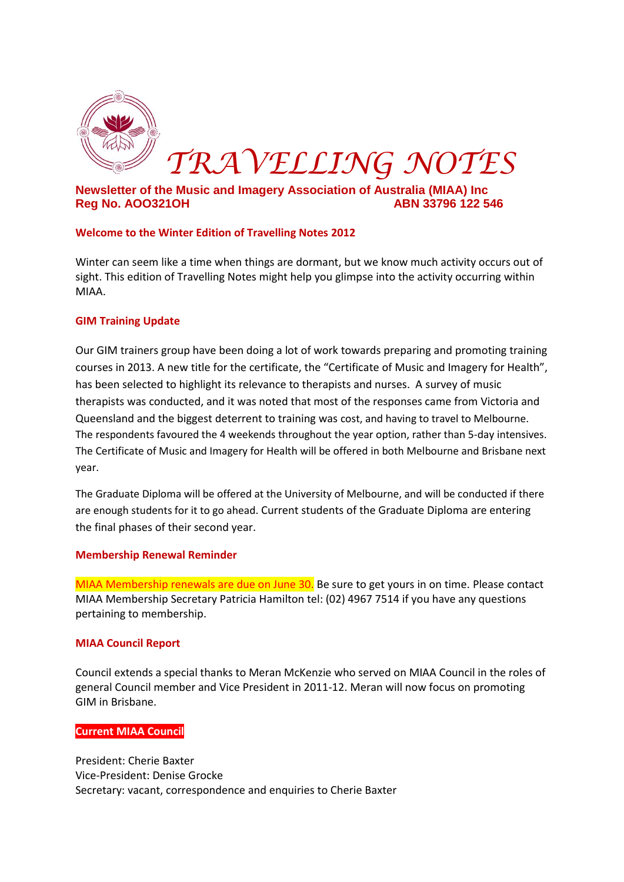

# **Newsletter of the Music and Imagery Association of Australia (MIAA) Inc Reg No. AOO321OH ABN 33796 122 546**

## **Welcome to the Winter Edition of Travelling Notes 2012**

Winter can seem like a time when things are dormant, but we know much activity occurs out of sight. This edition of Travelling Notes might help you glimpse into the activity occurring within MIAA.

### **GIM Training Update**

Our GIM trainers group have been doing a lot of work towards preparing and promoting training courses in 2013. A new title for the certificate, the "Certificate of Music and Imagery for Health", has been selected to highlight its relevance to therapists and nurses. A survey of music therapists was conducted, and it was noted that most of the responses came from Victoria and Queensland and the biggest deterrent to training was cost, and having to travel to Melbourne. The respondents favoured the 4 weekends throughout the year option, rather than 5-day intensives. The Certificate of Music and Imagery for Health will be offered in both Melbourne and Brisbane next year.

The Graduate Diploma will be offered at the University of Melbourne, and will be conducted if there are enough students for it to go ahead. Current students of the Graduate Diploma are entering the final phases of their second year.

### **Membership Renewal Reminder**

MIAA Membership renewals are due on June 30. Be sure to get yours in on time. Please contact MIAA Membership Secretary Patricia Hamilton tel: (02) 4967 7514 if you have any questions pertaining to membership.

### **MIAA Council Report**

Council extends a special thanks to Meran McKenzie who served on MIAA Council in the roles of general Council member and Vice President in 2011-12. Meran will now focus on promoting GIM in Brisbane.

### **Current MIAA Council**

President: Cherie Baxter Vice-President: Denise Grocke Secretary: vacant, correspondence and enquiries to Cherie Baxter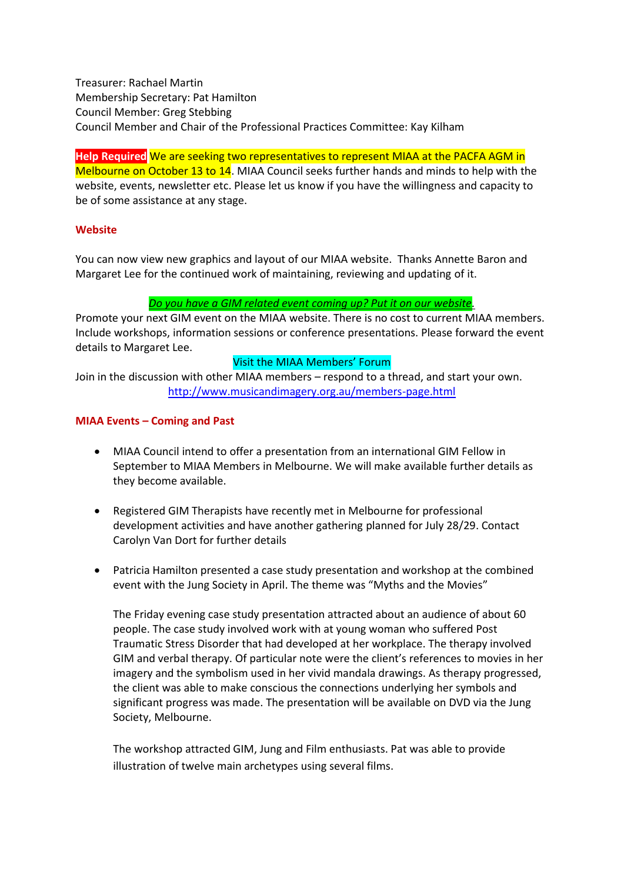Treasurer: Rachael Martin Membership Secretary: Pat Hamilton Council Member: Greg Stebbing Council Member and Chair of the Professional Practices Committee: Kay Kilham

**Help Required** We are seeking two representatives to represent MIAA at the PACFA AGM in Melbourne on October 13 to 14. MIAA Council seeks further hands and minds to help with the website, events, newsletter etc. Please let us know if you have the willingness and capacity to be of some assistance at any stage.

## **Website**

You can now view new graphics and layout of our MIAA website. Thanks Annette Baron and Margaret Lee for the continued work of maintaining, reviewing and updating of it.

## *Do you have a GIM related event coming up? Put it on our website.*

Promote your next GIM event on the MIAA website. There is no cost to current MIAA members. Include workshops, information sessions or conference presentations. Please forward the event details to Margaret Lee.

## Visit the MIAA Members' Forum

Join in the discussion with other MIAA members – respond to a thread, and start your own. <http://www.musicandimagery.org.au/members-page.html>

## **MIAA Events – Coming and Past**

- MIAA Council intend to offer a presentation from an international GIM Fellow in September to MIAA Members in Melbourne. We will make available further details as they become available.
- Registered GIM Therapists have recently met in Melbourne for professional development activities and have another gathering planned for July 28/29. Contact Carolyn Van Dort for further details
- Patricia Hamilton presented a case study presentation and workshop at the combined event with the Jung Society in April. The theme was "Myths and the Movies"

The Friday evening case study presentation attracted about an audience of about 60 people. The case study involved work with at young woman who suffered Post Traumatic Stress Disorder that had developed at her workplace. The therapy involved GIM and verbal therapy. Of particular note were the client's references to movies in her imagery and the symbolism used in her vivid mandala drawings. As therapy progressed, the client was able to make conscious the connections underlying her symbols and significant progress was made. The presentation will be available on DVD via the Jung Society, Melbourne.

The workshop attracted GIM, Jung and Film enthusiasts. Pat was able to provide illustration of twelve main archetypes using several films.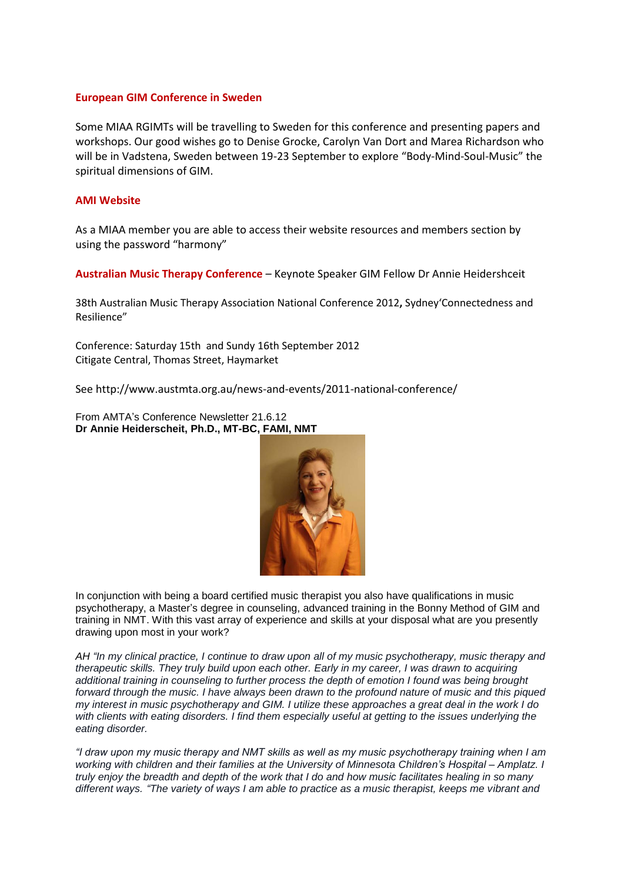#### **European GIM Conference in Sweden**

Some MIAA RGIMTs will be travelling to Sweden for this conference and presenting papers and workshops. Our good wishes go to Denise Grocke, Carolyn Van Dort and Marea Richardson who will be in Vadstena, Sweden between 19-23 September to explore "Body-Mind-Soul-Music" the spiritual dimensions of GIM.

#### **AMI Website**

As a MIAA member you are able to access their website resources and members section by using the password "harmony"

**Australian Music Therapy Conference** – Keynote Speaker GIM Fellow Dr Annie Heidershceit

38th Australian Music Therapy Association National Conference 2012**,** Sydney'Connectedness and Resilience"

Conference: Saturday 15th and Sundy 16th September 2012 Citigate Central, Thomas Street, Haymarket

See http://www.austmta.org.au/news-and-events/2011-national-conference/

From AMTA's Conference Newsletter 21.6.12 **Dr Annie Heiderscheit, Ph.D., MT-BC, FAMI, NMT**



In conjunction with being a board certified music therapist you also have qualifications in music psychotherapy, a Master's degree in counseling, advanced training in the Bonny Method of GIM and training in NMT. With this vast array of experience and skills at your disposal what are you presently drawing upon most in your work?

*AH "In my clinical practice, I continue to draw upon all of my music psychotherapy, music therapy and therapeutic skills. They truly build upon each other. Early in my career, I was drawn to acquiring additional training in counseling to further process the depth of emotion I found was being brought forward through the music. I have always been drawn to the profound nature of music and this piqued my interest in music psychotherapy and GIM. I utilize these approaches a great deal in the work I do with clients with eating disorders. I find them especially useful at getting to the issues underlying the eating disorder.*

*"I draw upon my music therapy and NMT skills as well as my music psychotherapy training when I am working with children and their families at the University of Minnesota Children's Hospital – Amplatz. I truly enjoy the breadth and depth of the work that I do and how music facilitates healing in so many different ways. "The variety of ways I am able to practice as a music therapist, keeps me vibrant and*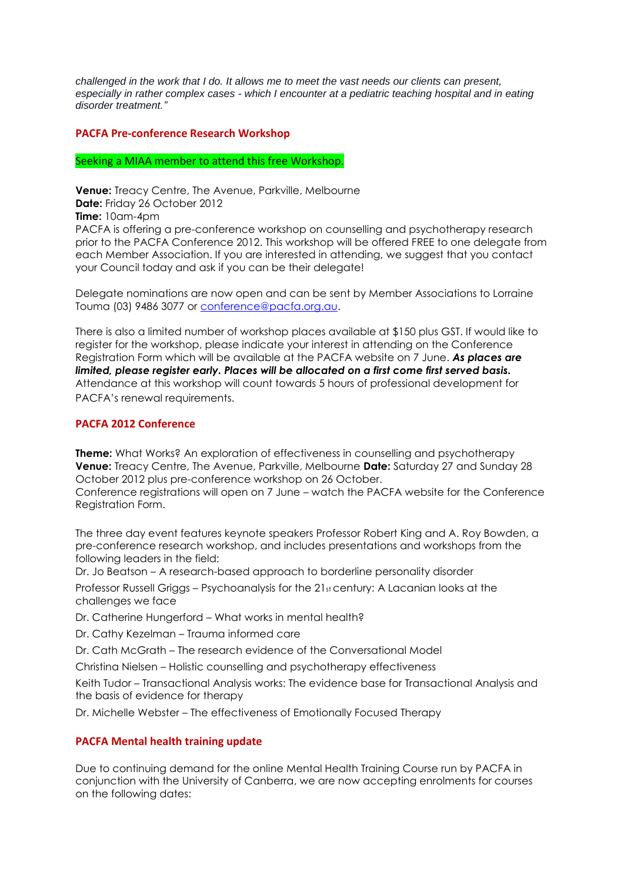*challenged in the work that I do. It allows me to meet the vast needs our clients can present, especially in rather complex cases - which I encounter at a pediatric teaching hospital and in eating disorder treatment."*

### **PACFA Pre-conference Research Workshop**

#### Seeking a MIAA member to attend this free Workshop.

**Venue:** Treacy Centre, The Avenue, Parkville, Melbourne **Date:** Friday 26 October 2012 **Time:** 10am-4pm PACFA is offering a pre-conference workshop on counselling and psychotherapy research prior to the PACFA Conference 2012. This workshop will be offered FREE to one delegate from each Member Association. If you are interested in attending, we suggest that you contact your Council today and ask if you can be their delegate!

Delegate nominations are now open and can be sent by Member Associations to Lorraine Touma (03) 9486 3077 or [conference@pacfa.org.au.](mailto:conference@pacfa.org.au)

There is also a limited number of workshop places available at \$150 plus GST. If would like to register for the workshop, please indicate your interest in attending on the Conference Registration Form which will be available at the PACFA website on 7 June. *As places are limited, please register early. Places will be allocated on a first come first served basis.*  Attendance at this workshop will count towards 5 hours of professional development for PACFA's renewal requirements.

### **PACFA 2012 Conference**

**Theme:** What Works? An exploration of effectiveness in counselling and psychotherapy **Venue:** Treacy Centre, The Avenue, Parkville, Melbourne **Date:** Saturday 27 and Sunday 28 October 2012 plus pre-conference workshop on 26 October.

Conference registrations will open on 7 June – watch the PACFA website for the Conference Registration Form.

The three day event features keynote speakers Professor Robert King and A. Roy Bowden, a pre-conference research workshop, and includes presentations and workshops from the following leaders in the field:

Dr. Jo Beatson – A research-based approach to borderline personality disorder

Professor Russell Griggs – Psychoanalysis for the 21st century: A Lacanian looks at the challenges we face

Dr. Catherine Hungerford – What works in mental health?

Dr. Cathy Kezelman – Trauma informed care

Dr. Cath McGrath – The research evidence of the Conversational Model

Christina Nielsen – Holistic counselling and psychotherapy effectiveness

Keith Tudor – Transactional Analysis works: The evidence base for Transactional Analysis and the basis of evidence for therapy

Dr. Michelle Webster – The effectiveness of Emotionally Focused Therapy

### **PACFA Mental health training update**

Due to continuing demand for the online Mental Health Training Course run by PACFA in conjunction with the University of Canberra, we are now accepting enrolments for courses on the following dates: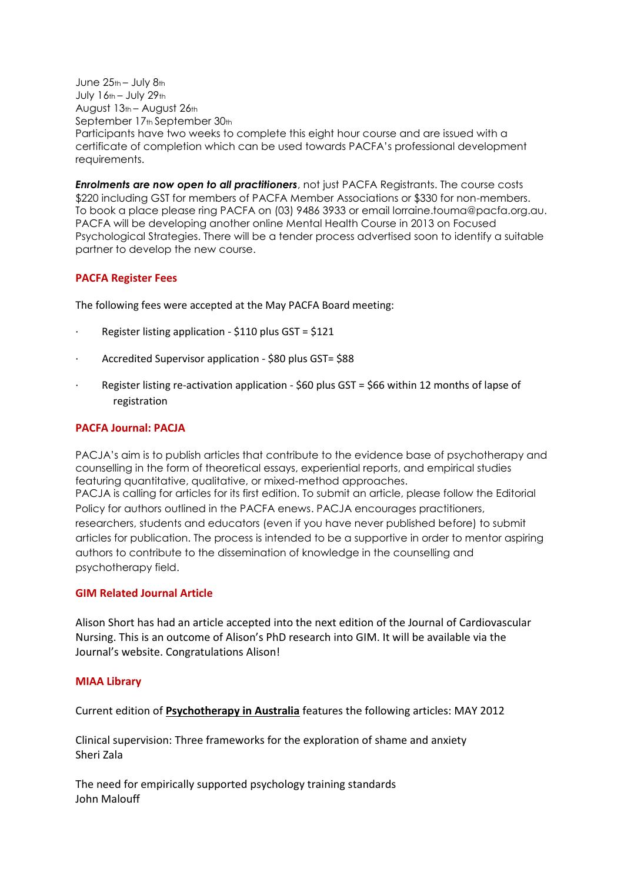June 25th – July 8th July 16th – July 29th August 13th – August 26th September 17th September 30th Participants have two weeks to complete this eight hour course and are issued with a certificate of completion which can be used towards PACFA's professional development requirements.

*Enrolments are now open to all practitioners*, not just PACFA Registrants. The course costs \$220 including GST for members of PACFA Member Associations or \$330 for non-members. To book a place please ring PACFA on (03) 9486 3933 or email lorraine.touma@pacfa.org.au. PACFA will be developing another online Mental Health Course in 2013 on Focused Psychological Strategies. There will be a tender process advertised soon to identify a suitable partner to develop the new course.

## **PACFA Register Fees**

The following fees were accepted at the May PACFA Board meeting:

- · Register listing application \$110 plus GST = \$121
- · Accredited Supervisor application \$80 plus GST= \$88
- · Register listing re-activation application \$60 plus GST = \$66 within 12 months of lapse of registration

### **PACFA Journal: PACJA**

PACJA's aim is to publish articles that contribute to the evidence base of psychotherapy and counselling in the form of theoretical essays, experiential reports, and empirical studies featuring quantitative, qualitative, or mixed-method approaches. PACJA is calling for articles for its first edition. To submit an article, please follow the Editorial Policy for authors outlined in the PACFA enews. PACJA encourages practitioners, researchers, students and educators (even if you have never published before) to submit articles for publication. The process is intended to be a supportive in order to mentor aspiring authors to contribute to the dissemination of knowledge in the counselling and psychotherapy field.

### **GIM Related Journal Article**

Alison Short has had an article accepted into the next edition of the Journal of Cardiovascular Nursing. This is an outcome of Alison's PhD research into GIM. It will be available via the Journal's website. Congratulations Alison!

### **MIAA Library**

Current edition of **Psychotherapy in Australia** features the following articles: MAY 2012

Clinical supervision: Three frameworks for the exploration of shame and anxiety Sheri Zala

The need for empirically supported psychology training standards John Malouff